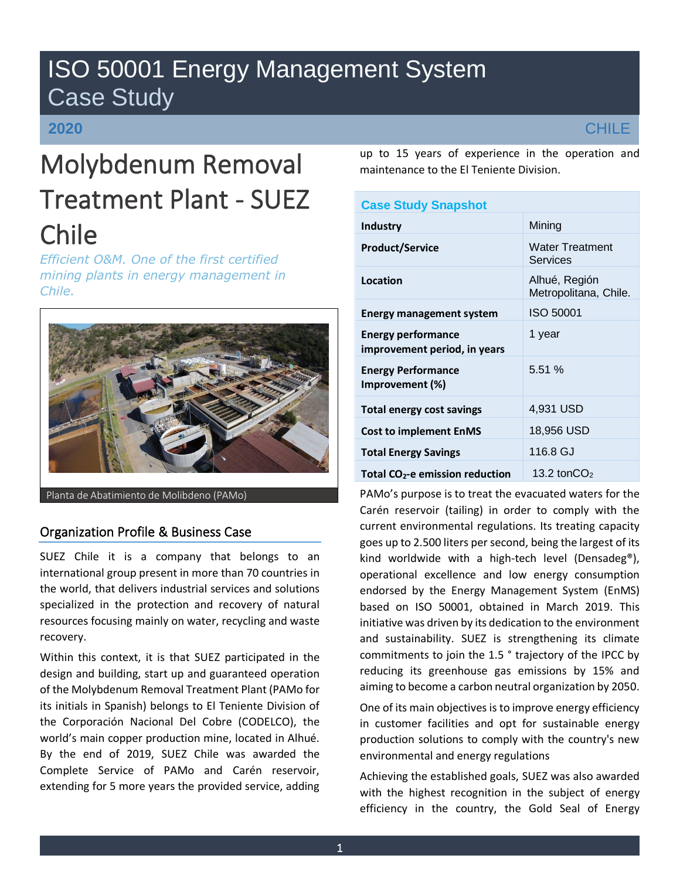# ISO 50001 Energy Management System Case Study

# **2020**

# Molybdenum Removal Treatment Plant - SUEZ Chile

*Efficient O&M. One of the first certified mining plants in energy management in Chile.*



Planta de Abatimiento de Molibdeno (PAMo)

# Organization Profile & Business Case

SUEZ Chile it is a company that belongs to an international group present in more than 70 countries in the world, that delivers industrial services and solutions specialized in the protection and recovery of natural resources focusing mainly on water, recycling and waste recovery.

Within this context, it is that SUEZ participated in the design and building, start up and guaranteed operation of the Molybdenum Removal Treatment Plant (PAMo for its initials in Spanish) belongs to El Teniente Division of the Corporación Nacional Del Cobre (CODELCO), the world's main copper production mine, located in Alhué. By the end of 2019, SUEZ Chile was awarded the Complete Service of PAMo and Carén reservoir, extending for 5 more years the provided service, adding up to 15 years of experience in the operation and maintenance to the El Teniente Division.

| <b>Case Study Snapshot</b>                                |                                        |
|-----------------------------------------------------------|----------------------------------------|
| <b>Industry</b>                                           | Mining                                 |
| <b>Product/Service</b>                                    | <b>Water Treatment</b><br>Services     |
| Location                                                  | Alhué, Región<br>Metropolitana, Chile. |
| <b>Energy management system</b>                           | ISO 50001                              |
| <b>Energy performance</b><br>improvement period, in years | 1 year                                 |
| <b>Energy Performance</b><br>Improvement (%)              | 5.51 %                                 |
| <b>Total energy cost savings</b>                          | 4,931 USD                              |
| <b>Cost to implement EnMS</b>                             | 18,956 USD                             |
| <b>Total Energy Savings</b>                               | 116.8 GJ                               |
| Total $CO2$ -e emission reduction                         | 13.2 ton $CO2$                         |

PAMo's purpose is to treat the evacuated waters for the Carén reservoir (tailing) in order to comply with the current environmental regulations. Its treating capacity goes up to 2.500 liters per second, being the largest of its kind worldwide with a high-tech level (Densadeg®), operational excellence and low energy consumption endorsed by the Energy Management System (EnMS) based on ISO 50001, obtained in March 2019. This initiative was driven by its dedication to the environment and sustainability. SUEZ is strengthening its climate commitments to join the 1.5 ° trajectory of the IPCC by reducing its greenhouse gas emissions by 15% and aiming to become a carbon neutral organization by 2050.

One of its main objectives is to improve energy efficiency in customer facilities and opt for sustainable energy production solutions to comply with the country's new environmental and energy regulations

Achieving the established goals, SUEZ was also awarded with the highest recognition in the subject of energy efficiency in the country, the Gold Seal of Energy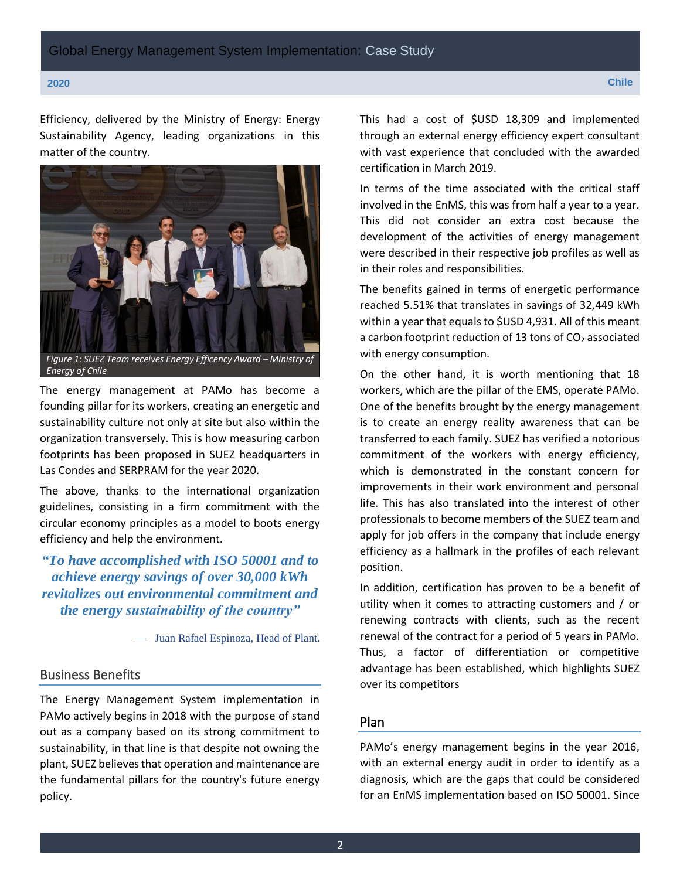Efficiency, delivered by the Ministry of Energy: Energy Sustainability Agency, leading organizations in this matter of the country.



The energy management at PAMo has become a founding pillar for its workers, creating an energetic and sustainability culture not only at site but also within the organization transversely. This is how measuring carbon footprints has been proposed in SUEZ headquarters in Las Condes and SERPRAM for the year 2020.

The above, thanks to the international organization guidelines, consisting in a firm commitment with the circular economy principles as a model to boots energy efficiency and help the environment.

*"To have accomplished with ISO 50001 and to achieve energy savings of over 30,000 kWh revitalizes out environmental commitment and the energy sustainability of the country"*

— Juan Rafael Espinoza, Head of Plant.

## Business Benefits

The Energy Management System implementation in PAMo actively begins in 2018 with the purpose of stand out as a company based on its strong commitment to sustainability, in that line is that despite not owning the plant, SUEZ believes that operation and maintenance are the fundamental pillars for the country's future energy policy.

This had a cost of \$USD 18,309 and implemented through an external energy efficiency expert consultant with vast experience that concluded with the awarded certification in March 2019.

In terms of the time associated with the critical staff involved in the EnMS, this was from half a year to a year. This did not consider an extra cost because the development of the activities of energy management were described in their respective job profiles as well as in their roles and responsibilities.

The benefits gained in terms of energetic performance reached 5.51% that translates in savings of 32,449 kWh within a year that equals to \$USD 4,931. All of this meant a carbon footprint reduction of 13 tons of  $CO<sub>2</sub>$  associated with energy consumption.

On the other hand, it is worth mentioning that 18 workers, which are the pillar of the EMS, operate PAMo. One of the benefits brought by the energy management is to create an energy reality awareness that can be transferred to each family. SUEZ has verified a notorious commitment of the workers with energy efficiency, which is demonstrated in the constant concern for improvements in their work environment and personal life. This has also translated into the interest of other professionals to become members of the SUEZ team and apply for job offers in the company that include energy efficiency as a hallmark in the profiles of each relevant position.

In addition, certification has proven to be a benefit of utility when it comes to attracting customers and / or renewing contracts with clients, such as the recent renewal of the contract for a period of 5 years in PAMo. Thus, a factor of differentiation or competitive advantage has been established, which highlights SUEZ over its competitors

# Plan

PAMo's energy management begins in the year 2016, with an external energy audit in order to identify as a diagnosis, which are the gaps that could be considered for an EnMS implementation based on ISO 50001. Since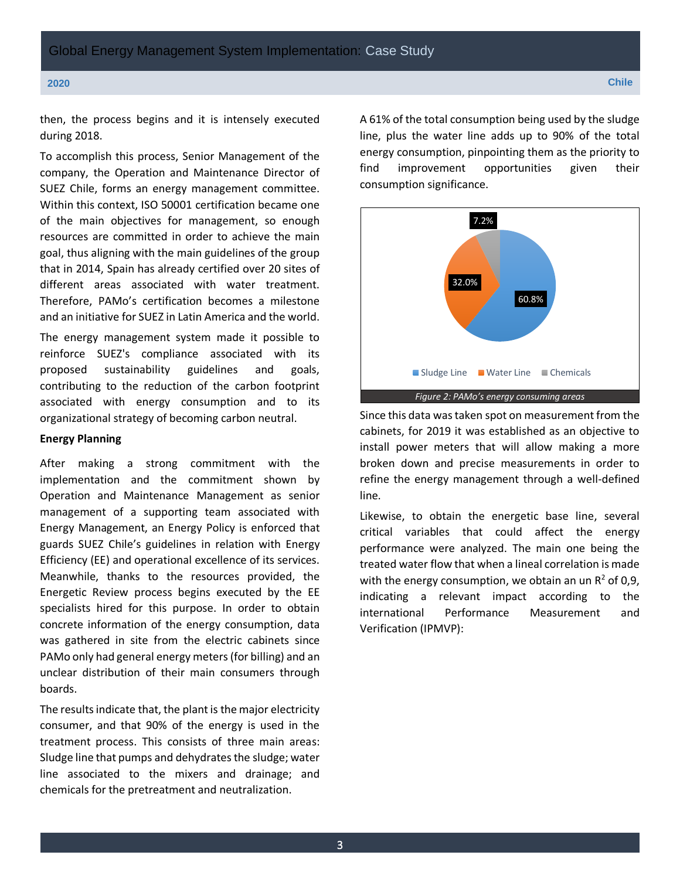then, the process begins and it is intensely executed during 2018.

To accomplish this process, Senior Management of the company, the Operation and Maintenance Director of SUEZ Chile, forms an energy management committee. Within this context, ISO 50001 certification became one of the main objectives for management, so enough resources are committed in order to achieve the main goal, thus aligning with the main guidelines of the group that in 2014, Spain has already certified over 20 sites of different areas associated with water treatment. Therefore, PAMo's certification becomes a milestone and an initiative for SUEZ in Latin America and the world.

The energy management system made it possible to reinforce SUEZ's compliance associated with its proposed sustainability guidelines and goals, contributing to the reduction of the carbon footprint associated with energy consumption and to its organizational strategy of becoming carbon neutral.

## **Energy Planning**

After making a strong commitment with the implementation and the commitment shown by Operation and Maintenance Management as senior management of a supporting team associated with Energy Management, an Energy Policy is enforced that guards SUEZ Chile's guidelines in relation with Energy Efficiency (EE) and operational excellence of its services. Meanwhile, thanks to the resources provided, the Energetic Review process begins executed by the EE specialists hired for this purpose. In order to obtain concrete information of the energy consumption, data was gathered in site from the electric cabinets since PAMo only had general energy meters(for billing) and an unclear distribution of their main consumers through boards.

The results indicate that, the plant is the major electricity consumer, and that 90% of the energy is used in the treatment process. This consists of three main areas: Sludge line that pumps and dehydrates the sludge; water line associated to the mixers and drainage; and chemicals for the pretreatment and neutralization.

A 61% of the total consumption being used by the sludge line, plus the water line adds up to 90% of the total energy consumption, pinpointing them as the priority to find improvement opportunities given their consumption significance.



Since this data was taken spot on measurement from the cabinets, for 2019 it was established as an objective to install power meters that will allow making a more broken down and precise measurements in order to refine the energy management through a well-defined line.

Likewise, to obtain the energetic base line, several critical variables that could affect the energy performance were analyzed. The main one being the treated water flow that when a lineal correlation is made with the energy consumption, we obtain an un  $R^2$  of 0,9, indicating a relevant impact according to the international Performance Measurement and Verification (IPMVP):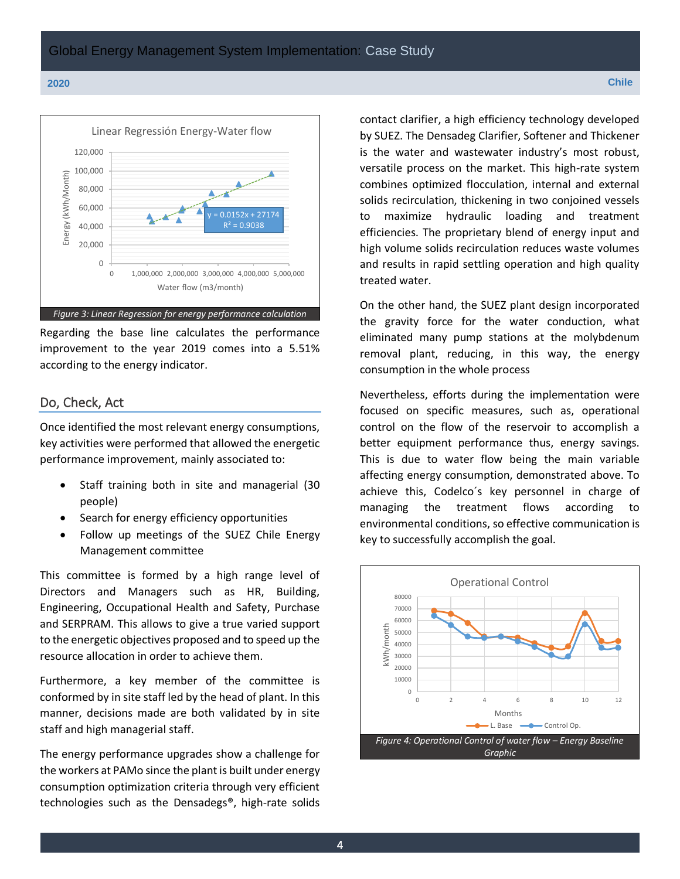

Regarding the base line calculates the performance improvement to the year 2019 comes into a 5.51% according to the energy indicator.

# Do, Check, Act

Once identified the most relevant energy consumptions, key activities were performed that allowed the energetic performance improvement, mainly associated to:

- Staff training both in site and managerial (30 people)
- Search for energy efficiency opportunities
- Follow up meetings of the SUEZ Chile Energy Management committee

This committee is formed by a high range level of Directors and Managers such as HR, Building, Engineering, Occupational Health and Safety, Purchase and SERPRAM. This allows to give a true varied support to the energetic objectives proposed and to speed up the resource allocation in order to achieve them.

Furthermore, a key member of the committee is conformed by in site staff led by the head of plant. In this manner, decisions made are both validated by in site staff and high managerial staff.

The energy performance upgrades show a challenge for the workers at PAMo since the plant is built under energy consumption optimization criteria through very efficient technologies such as the Densadegs®, high-rate solids

contact clarifier, a high efficiency technology developed by SUEZ. The Densadeg Clarifier, Softener and Thickener is the water and wastewater industry's most robust, versatile process on the market. This high-rate system combines optimized flocculation, internal and external solids recirculation, thickening in two conjoined vessels to maximize hydraulic loading and treatment efficiencies. The proprietary blend of energy input and high volume solids recirculation reduces waste volumes and results in rapid settling operation and high quality treated water.

On the other hand, the SUEZ plant design incorporated the gravity force for the water conduction, what eliminated many pump stations at the molybdenum removal plant, reducing, in this way, the energy consumption in the whole process

Nevertheless, efforts during the implementation were focused on specific measures, such as, operational control on the flow of the reservoir to accomplish a better equipment performance thus, energy savings. This is due to water flow being the main variable affecting energy consumption, demonstrated above. To achieve this, Codelco´s key personnel in charge of managing the treatment flows according to environmental conditions, so effective communication is key to successfully accomplish the goal.

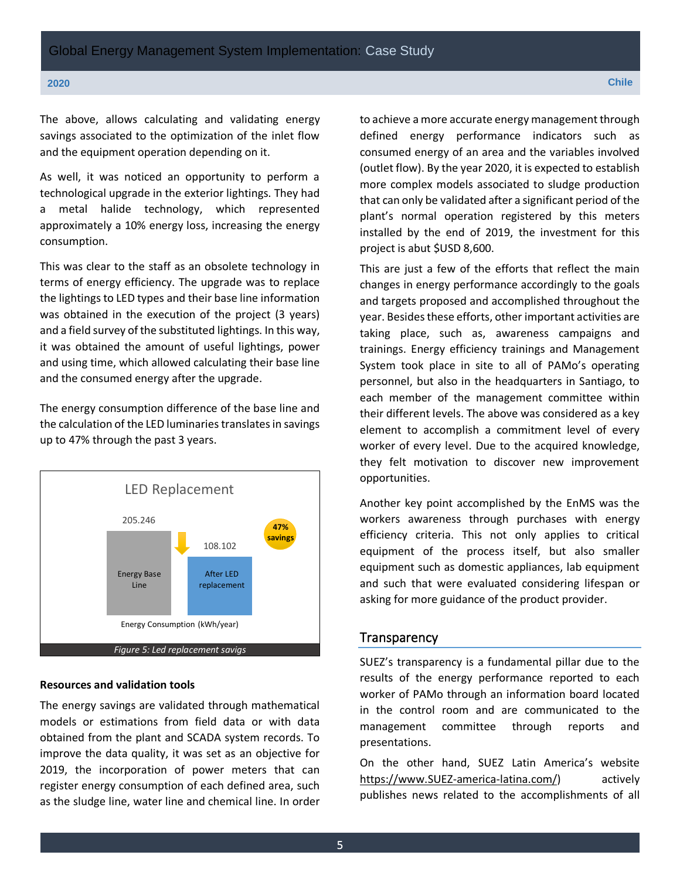The above, allows calculating and validating energy savings associated to the optimization of the inlet flow and the equipment operation depending on it.

As well, it was noticed an opportunity to perform a technological upgrade in the exterior lightings. They had a metal halide technology, which represented approximately a 10% energy loss, increasing the energy consumption.

This was clear to the staff as an obsolete technology in terms of energy efficiency. The upgrade was to replace the lightings to LED types and their base line information was obtained in the execution of the project (3 years) and a field survey of the substituted lightings. In this way, it was obtained the amount of useful lightings, power and using time, which allowed calculating their base line and the consumed energy after the upgrade.

The energy consumption difference of the base line and the calculation of the LED luminaries translates in savings up to 47% through the past 3 years.



# **Resources and validation tools**

The energy savings are validated through mathematical models or estimations from field data or with data obtained from the plant and SCADA system records. To improve the data quality, it was set as an objective for 2019, the incorporation of power meters that can register energy consumption of each defined area, such as the sludge line, water line and chemical line. In order

to achieve a more accurate energy management through defined energy performance indicators such as consumed energy of an area and the variables involved (outlet flow). By the year 2020, it is expected to establish more complex models associated to sludge production that can only be validated after a significant period of the plant's normal operation registered by this meters installed by the end of 2019, the investment for this project is abut \$USD 8,600.

This are just a few of the efforts that reflect the main changes in energy performance accordingly to the goals and targets proposed and accomplished throughout the year. Besides these efforts, other important activities are taking place, such as, awareness campaigns and trainings. Energy efficiency trainings and Management System took place in site to all of PAMo's operating personnel, but also in the headquarters in Santiago, to each member of the management committee within their different levels. The above was considered as a key element to accomplish a commitment level of every worker of every level. Due to the acquired knowledge, they felt motivation to discover new improvement opportunities.

Another key point accomplished by the EnMS was the workers awareness through purchases with energy efficiency criteria. This not only applies to critical equipment of the process itself, but also smaller equipment such as domestic appliances, lab equipment and such that were evaluated considering lifespan or asking for more guidance of the product provider.

### **Transparency**

SUEZ's transparency is a fundamental pillar due to the results of the energy performance reported to each worker of PAMo through an information board located in the control room and are communicated to the management committee through reports and presentations.

On the other hand, SUEZ Latin America's website [https://www.SUEZ-america-latina.com/\)](https://www.suez-america-latina.com/) actively publishes news related to the accomplishments of all